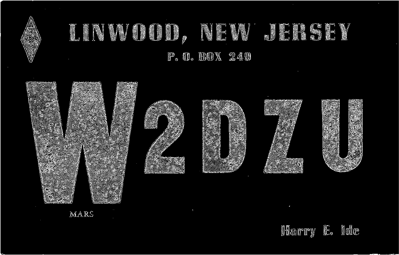

Harry E. Ide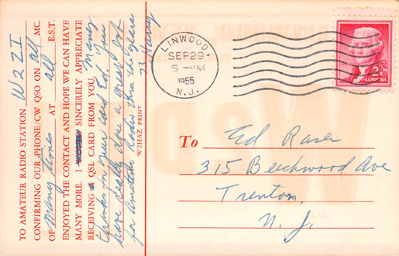CONTACT AND HOPE WE CAN HAVE PRECIATE E.S.T SEP29- $-111$  $2y$ 1955 **SINCERELY** PHONE/CW QSO ō  $\Lambda T$ TO AMATEUR RADIO STATION FROM ale  $\mathbb{R}$ ENINT **ARD** emp WOUD wh  $T\rho$ OUR  $251$ **ENJOYED THE** RECEIVING 表 **CONFIRMING** W MORE MANY OF U